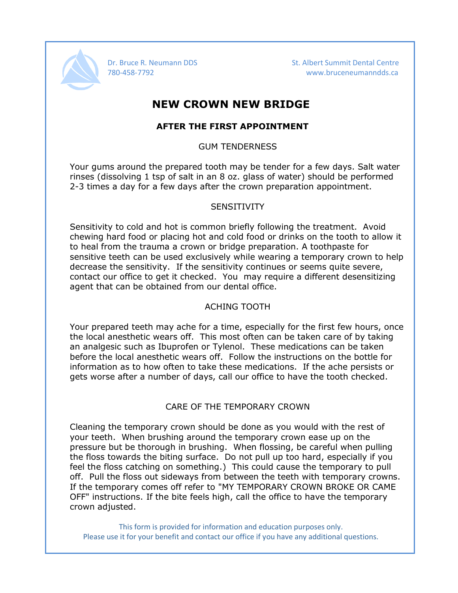

Dr. Bruce R. Neumann DDS St. Albert Summit Dental Centre 780-458-7792 www.bruceneumanndds.ca

## **NEW CROWN NEW BRIDGE**

## **AFTER THE FIRST APPOINTMENT**

### GUM TENDERNESS

Your gums around the prepared tooth may be tender for a few days. Salt water rinses (dissolving 1 tsp of salt in an 8 oz. glass of water) should be performed 2-3 times a day for a few days after the crown preparation appointment.

### **SENSITIVITY**

Sensitivity to cold and hot is common briefly following the treatment. Avoid chewing hard food or placing hot and cold food or drinks on the tooth to allow it to heal from the trauma a crown or bridge preparation. A toothpaste for sensitive teeth can be used exclusively while wearing a temporary crown to help decrease the sensitivity. If the sensitivity continues or seems quite severe, contact our office to get it checked. You may require a different desensitizing agent that can be obtained from our dental office.

## ACHING TOOTH

Your prepared teeth may ache for a time, especially for the first few hours, once the local anesthetic wears off. This most often can be taken care of by taking an analgesic such as Ibuprofen or Tylenol. These medications can be taken before the local anesthetic wears off. Follow the instructions on the bottle for information as to how often to take these medications. If the ache persists or gets worse after a number of days, call our office to have the tooth checked.

## CARE OF THE TEMPORARY CROWN

Cleaning the temporary crown should be done as you would with the rest of your teeth. When brushing around the temporary crown ease up on the pressure but be thorough in brushing. When flossing, be careful when pulling the floss towards the biting surface. Do not pull up too hard, especially if you feel the floss catching on something.) This could cause the temporary to pull off. Pull the floss out sideways from between the teeth with temporary crowns. If the temporary comes off refer to "MY TEMPORARY CROWN BROKE OR CAME OFF" instructions. If the bite feels high, call the office to have the temporary crown adjusted.

This form is provided for information and education purposes only. Please use it for your benefit and contact our office if you have any additional questions.